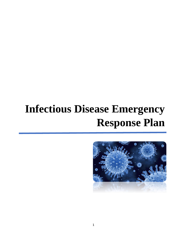# **Infectious Disease Emergency Response Plan**

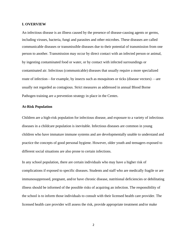#### **I. OVERVIEW**

An infectious disease is an illness caused by the presence of disease-causing agents or germs, including viruses, bacteria, fungi and parasites and other microbes. These diseases are called communicable diseases or transmissible diseases due to their potential of transmission from one person to another. Transmission may occur by direct contact with an infected person or animal, by ingesting contaminated food or water, or by contact with infected surroundings or contaminated air. Infectious (communicable) diseases that usually require a more specialized route of infection—for example, by insects such as mosquitoes or ticks (disease vectors) —are usually not regarded as contagious. Strict measures as addressed in annual Blood Borne Pathogen training are a prevention strategy in place in the Center**.**

## **At-Risk Population**

Children are a high-risk population for infectious disease, and exposure to a variety of infectious diseases in a childcare population is inevitable. Infectious diseases are common in young children who have immature immune systems and are developmentally unable to understand and practice the concepts of good personal hygiene. However, older youth and teenagers exposed to different social situations are also prone to certain infections.

In any school population, there are certain individuals who may have a higher risk of complications if exposed to specific diseases. Students and staff who are medically fragile or are immunosuppressed, pregnant, and/or have chronic disease, nutritional deficiencies or debilitating illness should be informed of the possible risks of acquiring an infection. The responsibility of the school is to inform those individuals to consult with their licensed health care provider. The licensed health care provider will assess the risk, provide appropriate treatment and/or make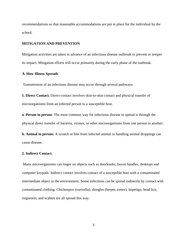recommendations so that reasonable accommodations are put in place for the individual by the school.

#### **MITIGATION AND PREVENTION**

Mitigation activities are taken in advance of an infectious disease outbreak to prevent or temper its impact. Mitigation efforts will occur primarily during the early phase of the outbreak.

## **A. How Illness Spreads**

Transmission of an infectious disease may occur through several pathways:

**1. Direct Contact.** Direct-contact involves skin-to-skin contact and physical transfer of microorganisms from an infected person to a susceptible host.

**a. Person to person**: The most common way for infectious disease to spread is through the physical direct transfer of bacteria, viruses, or other microorganisms from one person to another.

**b. Animal to person:** A scratch or bite from infected animal or handling animal droppings can cause disease.

#### **2. Indirect Contact.**

Many microorganisms can linger on objects such as doorknobs, faucet handles, desktops and computer keypads. Indirect contact involves contact of a susceptible host with a contaminated intermediate object in the environment. Some infections can be spread indirectly by contact with contaminated clothing. Chickenpox (varicella), shingles (herpes zoster), impetigo, head lice, ringworm, and scabies are all spread this way.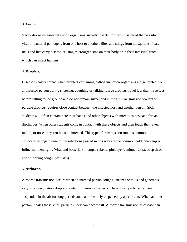#### **3. Vector.**

Vector-borne diseases rely upon organisms, usually insects, for transmission of the parasitic, viral or bacterial pathogens from one host to another. Bites and stings from mosquitoes, fleas, ticks and lice carry disease-causing microorganisms on their body or in their intestinal tract which can infect humans.

# **4. Droplets.**

Disease is easily spread when droplets containing pathogenic microorganisms are generated from an infected person during sneezing, coughing or talking, Large droplets travel less than three feet before falling to the ground and do not remain suspended in the air. Transmission via largeparticle droplets requires close contact between the infected host and another person. Sick students will often contaminate their hands and other objects with infectious nose and throat discharges. When other students come in contact with these objects and then touch their eyes, mouth, or nose, they can become infected. This type of transmission route is common in childcare settings. Some of the infections passed in this way are the common cold, chickenpox, influenza, meningitis (viral and bacterial), mumps, rubella, pink eye (conjunctivitis), strep throat, and whooping cough (pertussis).

# **5. Airborne.**

Airborne transmission occurs when an infected person coughs, sneezes or talks and generates very small respiratory droplets containing virus or bacteria. These small particles remain suspended in the air for long periods and can be widely dispersed by air currents. When another person inhales these small particles, they can become ill. Airborne transmission of disease can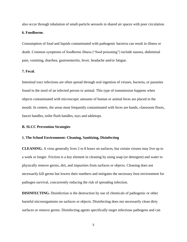also occur through inhalation of small-particle aerosols in shared air spaces with poor circulation.

# **6. Foodborne.**

Consumption of food and liquids contaminated with pathogenic bacteria can result in illness or death. Common symptoms of foodborne illness ("food poisoning") include nausea, abdominal pain, vomiting, diarrhea, gastroenteritis, fever, headache and/or fatigue.

## **7. Fecal.**

Intestinal tract infections are often spread through oral ingestion of viruses, bacteria, or parasites found in the stool of an infected person or animal. This type of transmission happens when objects contaminated with microscopic amounts of human or animal feces are placed in the mouth. In centers, the areas most frequently contaminated with feces are hands, classroom floors, faucet handles, toilet flush handles, toys and tabletops.

## **B. SLCC Prevention Strategies**

# **1. The School Environment: Cleaning, Sanitizing, Disinfecting**

**CLEANING.** A virus generally lives 2 to 8 hours on surfaces, but certain viruses may live up to a week or longer. Friction is a key element in cleaning by using soap (or detergent) and water to physically remove germs, dirt, and impurities from surfaces or objects. Cleaning does not necessarily kill germs but lowers their numbers and mitigates the necessary host environment for pathogen survival, concurrently reducing the risk of spreading infection.

**DISINFECTING.** Disinfection is the destruction by use of chemicals of pathogenic or other harmful microorganisms on surfaces or objects. Disinfecting does not necessarily clean dirty surfaces or remove germs. Disinfecting agents specifically target infectious pathogens and can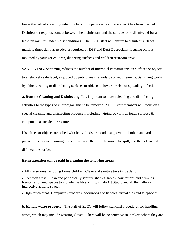lower the risk of spreading infection by killing germs on a surface after it has been cleaned. Disinfection requires contact between the disinfectant and the surface to be disinfected for at least ten minutes under moist conditions. The SLCC staff will ensure to disinfect surfaces multiple times daily as needed or required by DSS and DHEC especially focusing on toys mouthed by younger children, diapering surfaces and children restroom areas.

**SANITIZING.** Sanitizing reduces the number of microbial contaminants on surfaces or objects to a relatively safe level, as judged by public health standards or requirements. Sanitizing works by either cleaning or disinfecting surfaces or objects to lower the risk of spreading infection.

**a. Routine Cleaning and Disinfecting.** It is important to match cleaning and disinfecting activities to the types of microorganisms to be removed. SLCC staff members will focus on a special cleaning and disinfecting processes, including wiping down high touch surfaces & equipment, as needed or required..

If surfaces or objects are soiled with body fluids or blood, use gloves and other standard precautions to avoid coming into contact with the fluid. Remove the spill, and then clean and disinfect the surface.

#### **Extra attention will be paid in cleaning the following areas:**

• All classrooms including floors children. Clean and sanitize toys twice daily.

• Common areas. Clean and periodically sanitize shelves, tables, countertops and drinking fountains. Shared spaces to include the library, Light Lab/Art Studio and all the hallway interactive activity spaces

• High touch areas. Computer keyboards, doorknobs and handles, visual aids and telephones.

**b. Handle waste properly.** The staff of SLCC will follow standard procedures for handling waste, which may include wearing gloves. There will be no-touch waste baskets where they are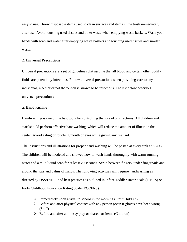easy to use. Throw disposable items used to clean surfaces and items in the trash immediately after use. Avoid touching used tissues and other waste when emptying waste baskets. Wash your hands with soap and water after emptying waste baskets and touching used tissues and similar waste.

# **2. Universal Precautions**

Universal precautions are a set of guidelines that assume that all blood and certain other bodily fluids are potentially infectious. Follow universal precautions when providing care to any individual, whether or not the person is known to be infectious. The list below describes universal precautions:

# **a. Handwashing**

Handwashing is one of the best tools for controlling the spread of infections. All children and staff should perform effective handwashing, which will reduce the amount of illness in the center. Avoid eating or touching mouth or eyes while giving any first aid.

The instructions and illustrations for proper hand washing will be posted at every sink at SLCC. The children will be modeled and showed how to wash hands thoroughly with warm running water and a mild liquid soap for at least 20 seconds. Scrub between fingers, under fingernails and around the tops and palms of hands: The following activities will require handwashing as directed by DSS/DHEC and best practices as outlined in Infant Toddler Rater Scale (ITERS) or Early Childhood Education Rating Scale (ECCERS).

- ➢ Immediately upon arrival to school in the morning (Staff/Children).
- $\triangleright$  Before and after physical contact with any person (even if gloves have been worn) (Staff)
- ➢ Before and after all messy play or shared art items (Children)
	- 7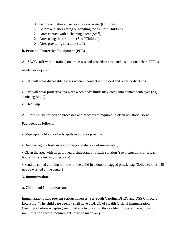- ➢ Before and after all sensory play or water (Children)
- ➢ Before and after eating or handling food (Staff/Children)
- $\triangleright$  After contact with a cleaning agent (Staff)
- $\triangleright$  After using the restroom (Staff/Children)
- $\triangleright$  After providing first aid (Staff)

# **b. Personal Protective Equipment (PPE)**

All SLCC staff will be trained on processes and procedures to handle situations where PPE is

needed or required.

• Staff will wear disposable gloves when in contact with blood and other body fluids.

• Staff will wear protective eyewear when body fluids may come into contact with eyes (e.g., squirting blood)

# **c. Clean-up**

All Staff will be trained on processes and procedures required to clean up Blood Borne

Pathogens as follows:

- Wipe up any blood or body spills as soon as possible
- Double-bag the trash in plastic bags and dispose of immediately

• Clean the area with an approved disinfectant or bleach solution (see instructions on Bleach bottle for safe mixing directions)

• Send all soiled clothing home with the child in a double-bagged plastic bag (Soiled clothes will not be washed at the center)

# **3. Immunizations**

# **a. Childhood Immunizations**

Immunizations help prevent serious illnesses. Per South Carolina DHEC and DSS Childcare Licensing, "The child care agency shall have a DHEC of Health Official Immunization Certificate before accepting any child age two (2) months or older into care. Exceptions to immunization record requirements may be made only if: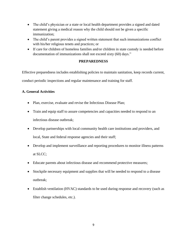- The child's physician or a state or local health department provides a signed and dated statement giving a medical reason why the child should not be given a specific immunization;
- The child's parent provides a signed written statement that such immunizations conflict with his/her religious tenets and practices; or
- If care for children of homeless families and/or children in state custody is needed before documentation of immunizations shall not exceed sixty (60) days."

# **PREPAREDNESS**

Effective preparedness includes establishing policies to maintain sanitation, keep records current, conduct periodic inspections and regular maintenance and training for staff.

# **A. General Activities**

- Plan, exercise, evaluate and revise the Infectious Disease Plan;
- Train and equip staff to assure competencies and capacities needed to respond to an infectious disease outbreak;
- Develop partnerships with local community health care institutions and providers, and local, State and federal response agencies and their staff;
- Develop and implement surveillance and reporting procedures to monitor illness patterns at SLCC;
- Educate parents about infectious disease and recommend protective measures;
- Stockpile necessary equipment and supplies that will be needed to respond to a disease outbreak;
- Establish ventilation (HVAC) standards to be used during response and recovery (such as filter change schedules, etc.).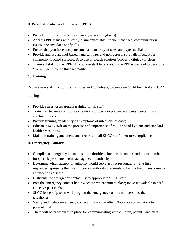# **B. Personal Protective Equipment (PPE)**

- Provide PPE to staff when necessary (masks and gloves).
- Address PPE issues with staff (i.e. uncomfortable, frequent changes, communication issues, one size does not fit all).
- Ensure that you have adequate stock and an array of sizes and types available.
- Provide and use alcohol-based hand sanitizer and non-aerosol spray disinfectant for commonly touched surfaces. Also use of bleach solution (properly diluted) to clean
- **Train all staff to use PPE.** Encourage staff to talk about the PPE issues and to develop a "we will get through this" mentality.

# **C. Training**

Require new staff, including substitutes and volunteers, to complete Child First Aid and CPR

training.

- Provide refresher awareness training for all staff;
- Train maintenance staff to use chemicals properly to prevent accidental contamination and human exposure;
- Provide training on identifying symptoms of infectious disease;
- Educate SLCC staff on the process and importance of routine hand hygiene and standard health precautions;
- Maintain training and attendance records on all SLCC staff to ensure compliance.

# **D. Emergency Contacts**

- Compile an emergency contact list of authorities. Include the names and phone numbers for specific personnel from each agency or authority.
- Determine which agency or authority would serve as first responder(s). The first responder represents the most important authority that needs to be involved in response to an infectious disease
- Distribute the emergency contact list to appropriate SLCC staff.
- Post the emergency contact list in a secure yet prominent place; make it available in hard copies & post cards
- SLCC leadership team will program the emergency contact numbers into their telephones.
- Verify and update emergency contact information often. Note dates of revisions to prevent confusion.
- There will be procedures in place for communicating with children, parents, and staff.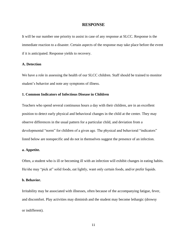## **RESPONSE**

It will be our number one priority to assist in case of any response at SLCC. Response is the immediate reaction to a disaster. Certain aspects of the response may take place before the event if it is anticipated. Response yields to recovery.

#### **A. Detection**

We have a role in assessing the health of our SLCC children. Staff should be trained to monitor student's behavior and note any symptoms of illness.

# **1. Common Indicators of Infectious Disease in Children**

Teachers who spend several continuous hours a day with their children, are in an excellent position to detect early physical and behavioral changes in the child at the center. They may observe differences in the usual pattern for a particular child, and deviation from a developmental "norm" for children of a given age. The physical and behavioral "indicators" listed below are nonspecific and do not in themselves suggest the presence of an infection.

# **a. Appetite.**

Often, a student who is ill or becoming ill with an infection will exhibit changes in eating habits. He/she may "pick at" solid foods, eat lightly, want only certain foods, and/or prefer liquids.

#### **b. Behavior.**

Irritability may be associated with illnesses, often because of the accompanying fatigue, fever, and discomfort. Play activities may diminish and the student may become lethargic (drowsy or indifferent).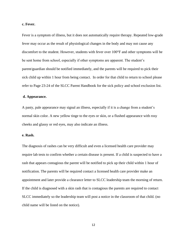## **c. Fever.**

Fever is a symptom of illness, but it does not automatically require therapy. Repeated low-grade fever may occur as the result of physiological changes in the body and may not cause any discomfort to the student. However, students with fever over 100°F and other symptoms will be be sent home from school, especially if other symptoms are apparent. The student's parent/guardian should be notified immediately, and the parents will be required to pick their sick child up within 1 hour from being contact. In order for that child to return to school please refer to Page 23-24 of the SLCC Parent Handbook for the sick policy and school exclusion list.

#### **d. Appearance.**

A pasty, pale appearance may signal an illness, especially if it is a change from a student's normal skin color. A new yellow tinge to the eyes or skin, or a flushed appearance with rosy cheeks and glassy or red eyes, may also indicate an illness.

## **e. Rash.**

The diagnosis of rashes can be very difficult and even a licensed health care provider may require lab tests to confirm whether a certain disease is present. If a child is suspected to have a rash that appears contagious the parent will be notified to pick up their child within 1 hour of notification. The parents will be required contact a licensed health care provider make an appointment and later provide a clearance letter to SLCC leadership team the morning of return. If the child is diagnosed with a skin rash that is contagious the parents are required to contact SLCC immediately so the leadership team will post a notice in the classroom of that child. (no child name will be listed on the notice).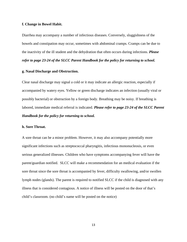#### **f. Change in Bowel Habit.**

Diarrhea may accompany a number of infectious diseases. Conversely, sluggishness of the bowels and constipation may occur, sometimes with abdominal cramps. Cramps can be due to the inactivity of the ill student and the dehydration that often occurs during infections. *Please refer to page 23-24 of the SLCC Parent Handbook for the policy for returning to school.*

# **g. Nasal Discharge and Obstruction.**

Clear nasal discharge may signal a cold or it may indicate an allergic reaction, especially if accompanied by watery eyes. Yellow or green discharge indicates an infection (usually viral or possibly bacterial) or obstruction by a foreign body. Breathing may be noisy. If breathing is labored, immediate medical referral is indicated. *Please refer to page 23-24 of the SLCC Parent Handbook for the policy for returning to school.*

#### **h. Sore Throat.**

A sore throat can be a minor problem. However, it may also accompany potentially more significant infections such as streptococcal pharyngitis, infectious mononucleosis, or even serious generalized illnesses. Children who have symptoms accompanying fever will have the parent/guardian notified. SLCC will make a recommendation for an medical evaluation if the sore throat since the sore throat is accompanied by fever, difficulty swallowing, and/or swollen lymph nodes (glands). The parent is required to notified SLCC if the child is diagnosed with any illness that is considered contagious. A notice of illness will be posted on the door of that's child's classroom. (no child's name will be posted on the notice)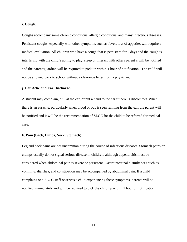## **i. Cough.**

Coughs accompany some chronic conditions, allergic conditions, and many infectious diseases. Persistent coughs, especially with other symptoms such as fever, loss of appetite, will require a medical evaluation. All children who have a cough that is persistent for 2 days and the cough is interfering with the child's ability to play, sleep or interact with others parent's will be notified and the parent/guardian will be required to pick up within 1 hour of notification. The child will not be allowed back to school without a clearance letter from a physician.

## **j. Ear Ache and Ear Discharge.**

A student may complain, pull at the ear, or put a hand to the ear if there is discomfort. When there is an earache, particularly when blood or pus is seen running from the ear, the parent will be notified and it will be the recommendation of SLCC for the child to be referred for medical care.

## **k. Pain (Back, Limbs, Neck, Stomach).**

Leg and back pains are not uncommon during the course of infectious diseases. Stomach pains or cramps usually do not signal serious disease in children, although appendicitis must be considered when abdominal pain is severe or persistent. Gastrointestinal disturbances such as vomiting, diarrhea, and constipation may be accompanied by abdominal pain. If a child complains or a SLCC staff observes a child experiencing these symptoms, parents will be notified immediately and will be required to pick the child up within 1 hour of notification.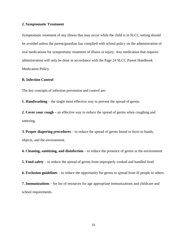## **2. Symptomatic Treatment**

Symptomatic treatment of any illness that may occur while the child is in SLCC setting should be avoided unless the parent/guardian has complied with school policy on the administration of oral medications for symptomatic treatment of illness or injury. Any medication that requires administration will only be done in accordance with the Page 24 SLCC Parent Handbook Medication Policy.

# **B. Infection Control**

The key concepts of infection prevention and control are:

**1. Handwashing** – the single most effective way to prevent the spread of germs.

**2. Cover your cough –** an effective way to reduce the spread of germs when coughing and sneezing.

**3. Proper diapering procedures** – to reduce the spread of germs found in feces to hands, objects, and the environment.

**4. Cleaning, sanitizing, and disinfection** – to reduce the presence of germs in the environment.

**5. Food safety** – to reduce the spread of germs from improperly cooked and handled food.

**6. Exclusion guidelines** – to reduce the opportunity for germs to spread from ill people to others.

**7. Immunizations** – for list of resources for age appropriate immunizations and childcare and school requirements.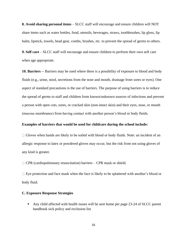**8. Avoid sharing personal items** – SLCC staff will encourage and ensure children will NOT share items such as water bottles, food, utensils, beverages, straws, toothbrushes, lip gloss, lip balm, lipstick, towels, head gear, combs, brushes, etc. to prevent the spread of germs to others.

**9. Self care** – SLCC staff will encourage and ensure children to perform their own self care when age appropriate.

**10. Barriers** -- Barriers may be used where there is a possibility of exposure to blood and body fluids (e.g., urine, stool, secretions from the nose and mouth, drainage from sores or eyes). One aspect of standard precautions is the use of barriers. The purpose of using barriers is to reduce the spread of germs to staff and children from known/unknown sources of infections and prevent a person with open cuts, sores, or cracked skin (non-intact skin) and their eyes, nose, or mouth (mucous membranes) from having contact with another person's blood or body fluids.

## **Examples of barriers that would be used for childcare during the school include:**

 $\Box$  Gloves when hands are likely to be soiled with blood or body fluids. Note: an incident of an allergic response to latex or powdered gloves may occur, but the risk from not using gloves of any kind is greater.

 $\Box$  CPR (cardiopulmonary resuscitation) barriers – CPR mask or shield.

 $\Box$  Eye protection and face mask when the face is likely to be splattered with another's blood or body fluid.

# **C. Exposure Response Strategies**

■ Any child affected with health issues will be sent home per page 23-24 of SLCC parent handbook sick policy and exclusion list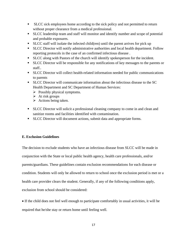- SLCC sick employees home according to the sick policy and not permitted to return without proper clearance from a medical professional.
- SLCC leadership team and staff will monitor and identify number and scope of potential and probable exposures.
- SLCC staff will isolate the infected child(ren) until the parent arrives for pick up
- **EXEC Director will notify administrative authorities and local health department. Follow** reporting protocols in the case of an confirmed infectious disease .
- SLCC along with Pastors of the church will identify spokesperson for the incident.
- SLCC Director will be responsible for any notifications of key messages to the parents or staff..
- SLCC Director will collect health-related information needed for public communications to parents
- **EXECC Director will communicate information about the infectious disease to the SC** Health Department and SC Department of Human Services:
	- ➢ Possibly physical symptoms.
	- $\triangleright$  At risk groups
	- $\triangleright$  Actions being taken.
- SLCC Director will solicit a professional cleaning company to come in and clean and sanitize rooms and facilities identified with contamination.
- SLCC Director will document actions, submit data and appropriate forms.

# **E. Exclusion Guidelines**

The decision to exclude students who have an infectious disease from SLCC will be made in conjunction with the State or local public health agency, health care professionals, and/or parents/guardians. These guidelines contain exclusion recommendations for each disease or condition. Students will only be allowed to return to school once the exclusion period is met or a health care provider clears the student. Generally, if any of the following conditions apply, exclusion from school should be considered:

• If the child does not feel well enough to participate comfortably in usual activities, it will be required that he/she stay or return home until feeling well.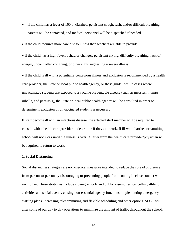- If the child has a fever of 100.0, diarrhea, persistent cough, rash, and/or difficult breathing; parents will be contacted, and medical personnel will be dispatched if needed.
- If the child requires more care due to illness than teachers are able to provide.
- If the child has a high fever, behavior changes, persistent crying, difficulty breathing, lack of energy, uncontrolled coughing, or other signs suggesting a severe illness.

• If the child is ill with a potentially contagious illness and exclusion is recommended by a health care provider, the State or local public health agency, or these guidelines. In cases where unvaccinated students are exposed to a vaccine preventable disease (such as measles, mumps, rubella, and pertussis), the State or local public health agency will be consulted in order to determine if exclusion of unvaccinated students is necessary.

If staff become ill with an infectious disease, the affected staff member will be required to consult with a health care provider to determine if they can work. If ill with diarrhea or vomiting, school will not work until the illness is over. A letter from the health care provider/physician will be required to return to work.

#### **1. Social Distancing**

Social distancing strategies are non-medical measures intended to reduce the spread of disease from person-to-person by discouraging or preventing people from coming in close contact with each other. These strategies include closing schools and public assemblies, cancelling athletic activities and social events, closing non-essential agency functions, implementing emergency staffing plans, increasing telecommuting and flexible scheduling and other options. SLCC will alter some of our day to day operations to minimize the amount of traffic throughout the school.